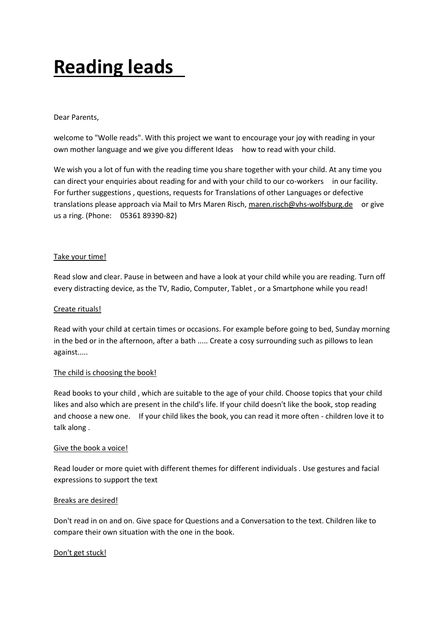# **Reading leads**

#### Dear Parents,

welcome to "Wolle reads". With this project we want to encourage your joy with reading in your own mother language and we give you different Ideas how to read with your child.

We wish you a lot of fun with the reading time you share together with your child. At any time you can direct your enquiries about reading for and with your child to our co-workers in our facility. For further suggestions , questions, requests for Translations of other Languages or defective translations please approach via Mail to Mrs Maren Risch, maren.risch@vhs-wolfsburg.de or give us a ring. (Phone: 05361 89390-82)

## Take your time!

Read slow and clear. Pause in between and have a look at your child while you are reading. Turn off every distracting device, as the TV, Radio, Computer, Tablet , or a Smartphone while you read!

## Create rituals!

Read with your child at certain times or occasions. For example before going to bed, Sunday morning in the bed or in the afternoon, after a bath ..... Create a cosy surrounding such as pillows to lean against.....

#### The child is choosing the book!

Read books to your child , which are suitable to the age of your child. Choose topics that your child likes and also which are present in the child's life. If your child doesn't like the book, stop reading and choose a new one. If your child likes the book, you can read it more often - children love it to talk along .

#### Give the book a voice!

Read louder or more quiet with different themes for different individuals . Use gestures and facial expressions to support the text

#### Breaks are desired!

Don't read in on and on. Give space for Questions and a Conversation to the text. Children like to compare their own situation with the one in the book.

#### Don't get stuck!